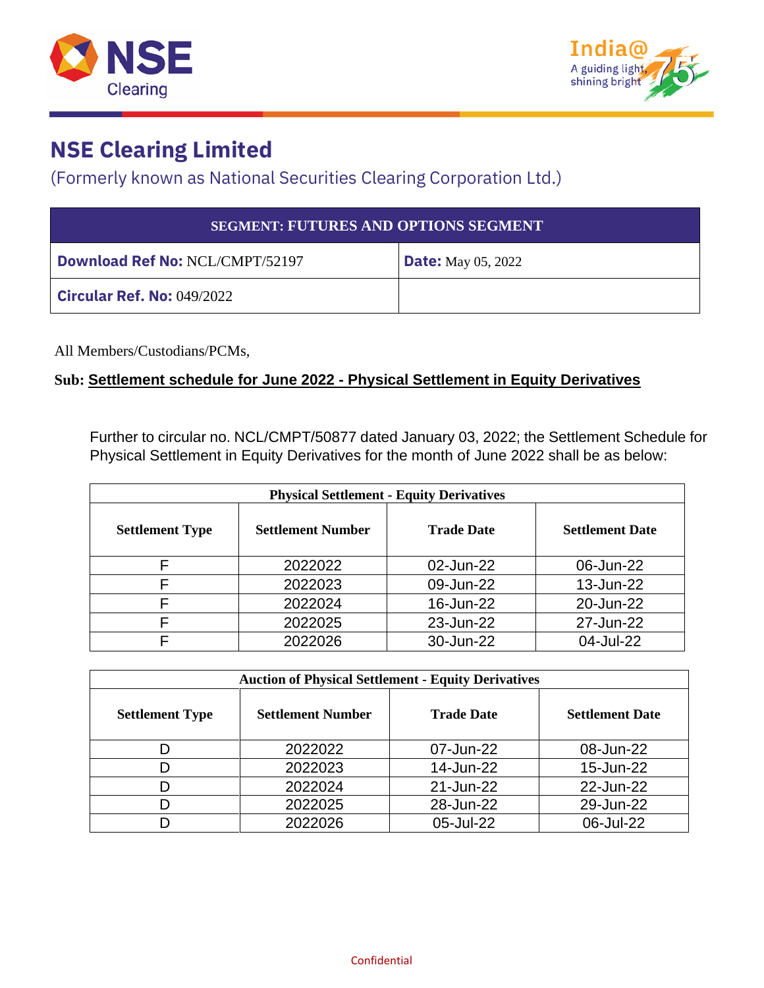



## **NSE Clearing Limited**

(Formerly known as National Securities Clearing Corporation Ltd.)

| <b>SEGMENT: FUTURES AND OPTIONS SEGMENT</b> |                           |  |  |
|---------------------------------------------|---------------------------|--|--|
| <b>Download Ref No: NCL/CMPT/52197</b>      | <b>Date:</b> May 05, 2022 |  |  |
| <b>Circular Ref. No: 049/2022</b>           |                           |  |  |

All Members/Custodians/PCMs,

## **Sub: Settlement schedule for June 2022 - Physical Settlement in Equity Derivatives**

Further to circular no. NCL/CMPT/50877 dated January 03, 2022; the Settlement Schedule for Physical Settlement in Equity Derivatives for the month of June 2022 shall be as below:

| <b>Physical Settlement - Equity Derivatives</b> |                          |                   |                        |  |
|-------------------------------------------------|--------------------------|-------------------|------------------------|--|
| <b>Settlement Type</b>                          | <b>Settlement Number</b> | <b>Trade Date</b> | <b>Settlement Date</b> |  |
|                                                 | 2022022                  | 02-Jun-22         | 06-Jun-22              |  |
|                                                 | 2022023                  | 09-Jun-22         | 13-Jun-22              |  |
|                                                 | 2022024                  | 16-Jun-22         | 20-Jun-22              |  |
|                                                 | 2022025                  | 23-Jun-22         | 27-Jun-22              |  |
|                                                 | 2022026                  | 30-Jun-22         | 04-Jul-22              |  |

| <b>Auction of Physical Settlement - Equity Derivatives</b> |                          |                   |                        |  |  |
|------------------------------------------------------------|--------------------------|-------------------|------------------------|--|--|
| <b>Settlement Type</b>                                     | <b>Settlement Number</b> | <b>Trade Date</b> | <b>Settlement Date</b> |  |  |
|                                                            | 2022022                  | 07-Jun-22         | 08-Jun-22              |  |  |
|                                                            | 2022023                  | 14-Jun-22         | 15-Jun-22              |  |  |
|                                                            | 2022024                  | 21-Jun-22         | 22-Jun-22              |  |  |
|                                                            | 2022025                  | 28-Jun-22         | 29-Jun-22              |  |  |
|                                                            | 2022026                  | 05-Jul-22         | 06-Jul-22              |  |  |